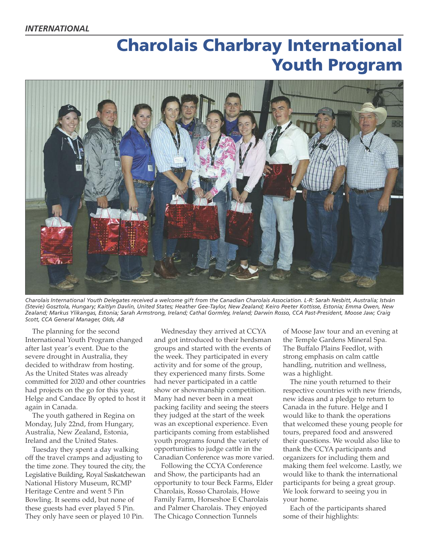# **Charolais Charbray International Youth Program**



Charolais International Youth Delegates received a welcome gift from the Canadian Charolais Association. L-R: Sarah Nesbitt, Australia; István (Stevie) Gosztola, Hungary; Kaitlyn Davlin, United States; Heather Gee-Taylor, New Zealand; Keiro Peeter Kottisse, Estonia; Emma Owen, New Zealand; Markus Ylikangas, Estonia; Sarah Armstrong, Ireland; Cathal Gormley, Ireland; Darwin Rosso, CCA Past-President, Moose Jaw; Craig *Scott, CCA General Manager, Olds, AB*

The planning for the second International Youth Program changed after last year's event. Due to the severe drought in Australia, they decided to withdraw from hosting. As the United States was already committed for 2020 and other countries had projects on the go for this year, Helge and Candace By opted to host it again in Canada.

The youth gathered in Regina on Monday, July 22nd, from Hungary, Australia, New Zealand, Estonia, Ireland and the United States.

Tuesday they spent a day walking off the travel cramps and adjusting to the time zone. They toured the city, the Legislative Building, Royal Saskatchewan National History Museum, RCMP Heritage Centre and went 5 Pin Bowling. It seems odd, but none of these guests had ever played 5 Pin. They only have seen or played 10 Pin.

Wednesday they arrived at CCYA and got introduced to their herdsman groups and started with the events of the week. They participated in every activity and for some of the group, they experienced many firsts. Some had never participated in a cattle show or showmanship competition. Many had never been in a meat packing facility and seeing the steers they judged at the start of the week was an exceptional experience. Even participants coming from established youth programs found the variety of opportunities to judge cattle in the Canadian Conference was more varied.

Following the CCYA Conference and Show, the participants had an opportunity to tour Beck Farms, Elder Charolais, Rosso Charolais, Howe Family Farm, Horseshoe E Charolais and Palmer Charolais. They enjoyed The Chicago Connection Tunnels

of Moose Jaw tour and an evening at the Temple Gardens Mineral Spa. The Buffalo Plains Feedlot, with strong emphasis on calm cattle handling, nutrition and wellness, was a highlight.

The nine youth returned to their respective countries with new friends, new ideas and a pledge to return to Canada in the future. Helge and I would like to thank the operations that welcomed these young people for tours, prepared food and answered their questions. We would also like to thank the CCYA participants and organizers for including them and making them feel welcome. Lastly, we would like to thank the international participants for being a great group. We look forward to seeing you in your home.

Each of the participants shared some of their highlights: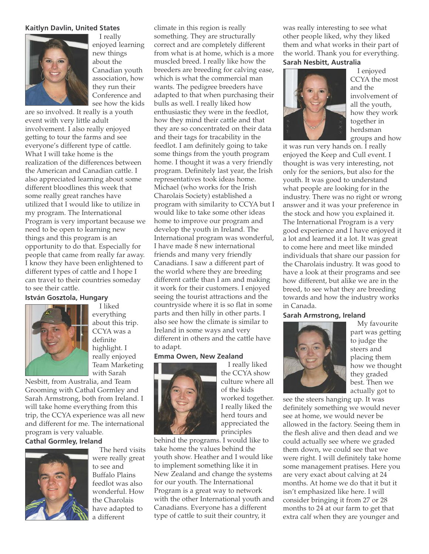### **Kaitlyn Davlin, United States**



I really enjoyed learning new things about the Canadian youth association, how they run their Conference and see how the kids

are so involved. It really is a youth event with very little adult involvement. I also really enjoyed getting to tour the farms and see everyone's different type of cattle. What I will take home is the realization of the differences between the American and Canadian cattle. I also appreciated learning about some different bloodlines this week that some really great ranches have utilized that I would like to utilize in my program. The International Program is very important because we need to be open to learning new things and this program is an opportunity to do that. Especially for people that came from really far away. I know they have been enlightened to different types of cattle and I hope I can travel to their countries someday to see their cattle.

# **István Gosztola, Hungary**



everything about this trip. CCYA was a definite highlight. I really enjoyed Team Marketing with Sarah

I liked

Nesbitt, from Australia, and Team Grooming with Cathal Gormley and Sarah Armstrong, both from Ireland. I will take home everything from this trip, the CCYA experience was all new and different for me. The international program is very valuable.

## **Cathal Gormley, Ireland**



The herd visits were really great to see and Buffalo Plains feedlot was also wonderful. How the Charolais have adapted to different

climate in this region is really something. They are structurally correct and are completely different from what is at home, which is a more muscled breed. I really like how the breeders are breeding for calving ease, which is what the commercial man wants. The pedigree breeders have adapted to that when purchasing their bulls as well. I really liked how enthusiastic they were in the feedlot, how they mind their cattle and that they are so concentrated on their data and their tags for tracability in the feedlot. I am definitely going to take some things from the youth program home. I thought it was a very friendly program. Definitely last year, the Irish representatives took ideas home. Michael (who works for the Irish Charolais Society) established a program with similarity to CCYA but I would like to take some other ideas home to improve our program and develop the youth in Ireland. The International program was wonderful, I have made 8 new international friends and many very friendly Canadians. I saw a different part of the world where they are breeding different cattle than I am and making it work for their customers. I enjoyed seeing the tourist attractions and the countryside where it is so flat in some parts and then hilly in other parts. I also see how the climate is similar to Ireland in some ways and very different in others and the cattle have to adapt.

#### **Emma Owen, New Zealand**



I really liked the CCYA show culture where all of the kids worked together. I really liked the herd tours and appreciated the principles

behind the programs. I would like to take home the values behind the youth show. Heather and I would like to implement something like it in New Zealand and change the systems for our youth. The International Program is a great way to network with the other International youth and Canadians. Everyone has a different type of cattle to suit their country, it

was really interesting to see what other people liked, why they liked them and what works in their part of the world. Thank you for everything.

### **Sarah Nesbitt, Australia**



I enjoyed CCYA the most and the involvement of all the youth, how they work together in herdsman groups and how

it was run very hands on. I really enjoyed the Keep and Cull event. I thought is was very interesting, not only for the seniors, but also for the youth. It was good to understand what people are looking for in the industry. There was no right or wrong answer and it was your preference in the stock and how you explained it. The International Program is a very good experience and I have enjoyed it a lot and learned it a lot. It was great to come here and meet like minded individuals that share our passion for the Charolais industry. It was good to have a look at their programs and see how different, but alike we are in the breed, to see what they are breeding towards and how the industry works in Canada.

#### **Sarah Armstrong, Ireland**



My favourite part was getting to judge the steers and placing them how we thought they graded best. Then we actually got to

see the steers hanging up. It was definitely something we would never see at home, we would never be allowed in the factory. Seeing them in the flesh alive and then dead and we could actually see where we graded them down, we could see that we were right. I will definitely take home some management pratises. Here you are very exact about calving at 24 months. At home we do that it but it isn't emphasized like here. I will consider bringing it from 27 or 28 months to 24 at our farm to get that extra calf when they are younger and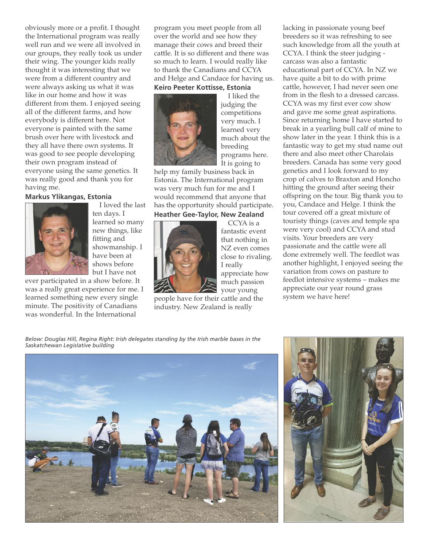obviously more or a profit. I thought the International program was really well run and we were all involved in our groups, they really took us under their wing. The younger kids really thought it was interesting that we were from a different country and were always asking us what it was like in our home and how it was different from them. I enjoyed seeing all of the different farms, and how everybody is different here. Not everyone is painted with the same brush over here with livestock and they all have there own systems. It was good to see people developing their own program instead of everyone using the same genetics. It was really good and thank you for having me.

### **Markus Ylikangas, Estonia**



I loved the last ten days. I learned so many new things, like fitting and showmanship. I have been at shows before but I have not

ever participated in a show before. It was a really great experience for me. I learned something new every single minute. The positivity of Canadians was wonderful. In the International

program you meet people from all over the world and see how they manage their cows and breed their cattle. It is so different and there was so much to learn. I would really like to thank the Canadians and CCYA and Helge and Candace for having us.

#### **Keiro Peeter Kottisse, Estonia**



I liked the judging the competitions very much. I learned very much about the breeding programs here. It is going to

help my family business back in Estonia. The International program was very much fun for me and I would recommend that anyone that has the opportunity should participate. **Heather Gee-Taylor, New Zealand**

CCYA is a fantastic event that nothing in NZ even comes close to rivaling. I really appreciate how much passion your young

people have for their cattle and the industry. New Zealand is really

lacking in passionate young beef breeders so it was refreshing to see such knowledge from all the youth at CCYA. I think the steer judging carcass was also a fantastic educational part of CCYA. In NZ we have quite a bit to do with prime cattle, however, I had never seen one from in the flesh to a dressed carcass. CCYA was my first ever cow show and gave me some great aspirations. Since returning home I have started to break in a yearling bull calf of mine to show later in the year. I think this is a fantastic way to get my stud name out there and also meet other Charolais breeders. Canada has some very good genetics and I look forward to my crop of calves to Braxton and Honcho hitting the ground after seeing their offspring on the tour. Big thank you to you, Candace and Helge. I think the tour covered off a great mixture of touristy things (caves and temple spa were very cool) and CCYA and stud visits. Your breeders are very passionate and the cattle were all done extremely well. The feedlot was another highlight, I enjoyed seeing the variation from cows on pasture to feedlot intensive systems – makes me appreciate our year round grass system we have here!

*Below: Douglas Hill, Regina Right: Irish delegates standing by the Irish marble bases in the Saskatchewan Legislative building*



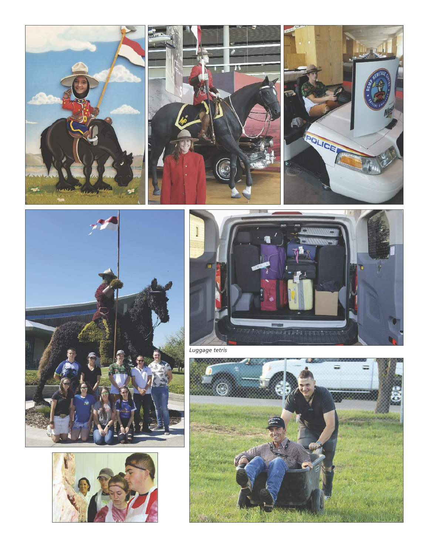











*Luggage tetris*

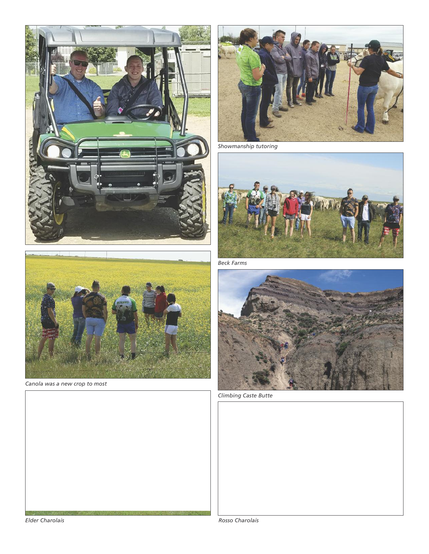



*Canola was a new crop to most*



*Showmanship tutoring*



*Beck Farms*



*Climbing Caste Butte*